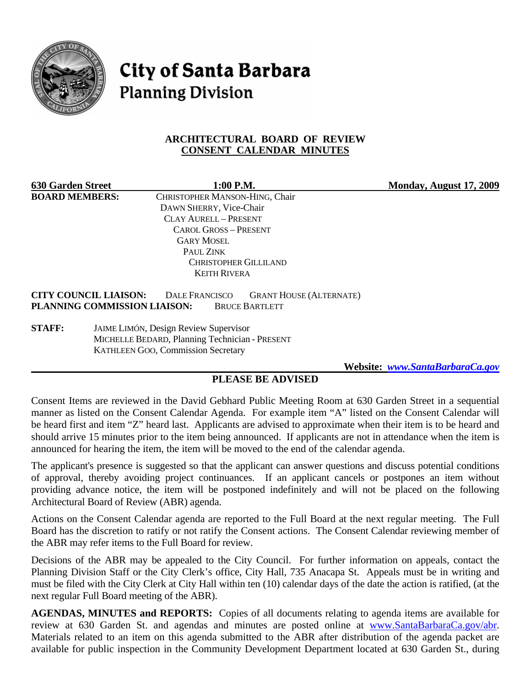

# **City of Santa Barbara Planning Division**

## **ARCHITECTURAL BOARD OF REVIEW CONSENT CALENDAR MINUTES**

**630 Garden Street 1:00 P.M. 1:00 P.M.** Monday, August 17, 2009<br> **BOARD MEMBERS:** CHRISTOPHER MANSON-HING. Chair CHRISTOPHER MANSON-HING, Chair DAWN SHERRY, Vice-Chair CLAY AURELL – PRESENT CAROL GROSS – PRESENT GARY MOSEL PAUL ZINK CHRISTOPHER GILLILAND KEITH RIVERA **CITY COUNCIL LIAISON:** DALE FRANCISCO GRANT HOUSE (ALTERNATE) **PLANNING COMMISSION LIAISON:** BRUCE BARTLETT

**STAFF:** JAIME LIMÓN, Design Review Supervisor MICHELLE BEDARD, Planning Technician - PRESENT KATHLEEN GOO, Commission Secretary

 **Website:** *[www.SantaBarbaraCa.gov](http://www.santabarbaraca.gov/)*

# **PLEASE BE ADVISED**

Consent Items are reviewed in the David Gebhard Public Meeting Room at 630 Garden Street in a sequential manner as listed on the Consent Calendar Agenda. For example item "A" listed on the Consent Calendar will be heard first and item "Z" heard last. Applicants are advised to approximate when their item is to be heard and should arrive 15 minutes prior to the item being announced. If applicants are not in attendance when the item is announced for hearing the item, the item will be moved to the end of the calendar agenda.

The applicant's presence is suggested so that the applicant can answer questions and discuss potential conditions of approval, thereby avoiding project continuances. If an applicant cancels or postpones an item without providing advance notice, the item will be postponed indefinitely and will not be placed on the following Architectural Board of Review (ABR) agenda.

Actions on the Consent Calendar agenda are reported to the Full Board at the next regular meeting. The Full Board has the discretion to ratify or not ratify the Consent actions. The Consent Calendar reviewing member of the ABR may refer items to the Full Board for review.

Decisions of the ABR may be appealed to the City Council. For further information on appeals, contact the Planning Division Staff or the City Clerk's office, City Hall, 735 Anacapa St. Appeals must be in writing and must be filed with the City Clerk at City Hall within ten (10) calendar days of the date the action is ratified, (at the next regular Full Board meeting of the ABR).

**AGENDAS, MINUTES and REPORTS:** Copies of all documents relating to agenda items are available for review at 630 Garden St. and agendas and minutes are posted online at [www.SantaBarbaraCa.gov/abr.](http://www.santabarbaraca.gov/abr) Materials related to an item on this agenda submitted to the ABR after distribution of the agenda packet are available for public inspection in the Community Development Department located at 630 Garden St., during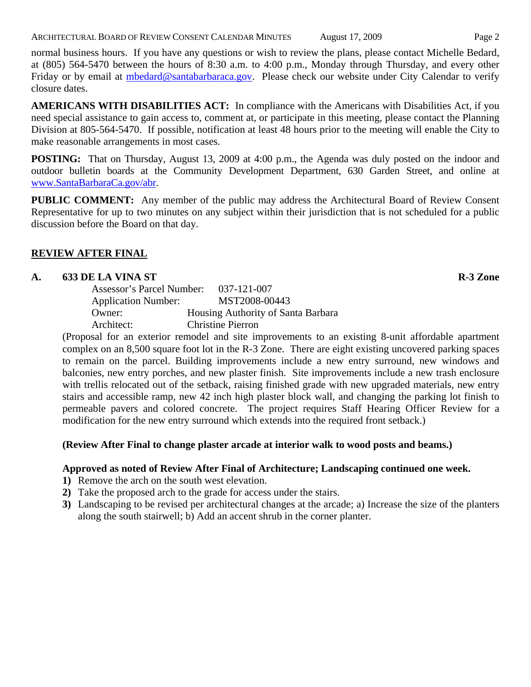ARCHITECTURAL BOARD OF REVIEW CONSENT CALENDAR MINUTES August 17, 2009 Page 2

normal business hours. If you have any questions or wish to review the plans, please contact Michelle Bedard, at (805) 564-5470 between the hours of 8:30 a.m. to 4:00 p.m., Monday through Thursday, and every other Friday or by email at [mbedard@santabarbaraca.gov.](mailto:mbedard@santabarbaraca.gov) Please check our website under City Calendar to verify closure dates.

**AMERICANS WITH DISABILITIES ACT:** In compliance with the Americans with Disabilities Act, if you need special assistance to gain access to, comment at, or participate in this meeting, please contact the Planning Division at 805-564-5470. If possible, notification at least 48 hours prior to the meeting will enable the City to make reasonable arrangements in most cases.

**POSTING:** That on Thursday, August 13, 2009 at 4:00 p.m., the Agenda was duly posted on the indoor and outdoor bulletin boards at the Community Development Department, 630 Garden Street, and online at [www.SantaBarbaraCa.gov/abr](http://www.santabarbaraca.gov/abr).

**PUBLIC COMMENT:** Any member of the public may address the Architectural Board of Review Consent Representative for up to two minutes on any subject within their jurisdiction that is not scheduled for a public discussion before the Board on that day.

# **REVIEW AFTER FINAL**

## A. 633 DE LA VINA ST **R-3 Zone**

| Assessor's Parcel Number:  | 037-121-007                        |
|----------------------------|------------------------------------|
| <b>Application Number:</b> | MST2008-00443                      |
| Owner:                     | Housing Authority of Santa Barbara |
| Architect:                 | <b>Christine Pierron</b>           |

(Proposal for an exterior remodel and site improvements to an existing 8-unit affordable apartment complex on an 8,500 square foot lot in the R-3 Zone. There are eight existing uncovered parking spaces to remain on the parcel. Building improvements include a new entry surround, new windows and balconies, new entry porches, and new plaster finish. Site improvements include a new trash enclosure with trellis relocated out of the setback, raising finished grade with new upgraded materials, new entry stairs and accessible ramp, new 42 inch high plaster block wall, and changing the parking lot finish to permeable pavers and colored concrete. The project requires Staff Hearing Officer Review for a modification for the new entry surround which extends into the required front setback.)

# **(Review After Final to change plaster arcade at interior walk to wood posts and beams.)**

#### **Approved as noted of Review After Final of Architecture; Landscaping continued one week.**

- **1)** Remove the arch on the south west elevation.
- **2)** Take the proposed arch to the grade for access under the stairs.
- **3)** Landscaping to be revised per architectural changes at the arcade; a) Increase the size of the planters along the south stairwell; b) Add an accent shrub in the corner planter.